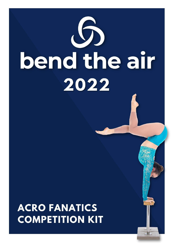

# **ACRO FANATICS COMPETITION KIT**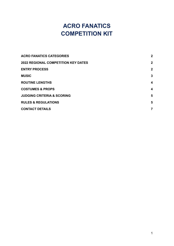## **ACRO FANATICS COMPETITION KIT**

| <b>ACRO FANATICS CATEGORIES</b>            | $\mathbf{2}$   |
|--------------------------------------------|----------------|
| <b>2022 REGIONAL COMPETITION KEY DATES</b> | $\overline{2}$ |
| <b>ENTRY PROCESS</b>                       | $\overline{2}$ |
| <b>MUSIC</b>                               | 3              |
| <b>ROUTINE LENGTHS</b>                     | 4              |
| <b>COSTUMES &amp; PROPS</b>                | 4              |
| <b>JUDGING CRITERIA &amp; SCORING</b>      | 5              |
| <b>RULES &amp; REGULATIONS</b>             | 5              |
| <b>CONTACT DETAILS</b>                     | 7              |
|                                            |                |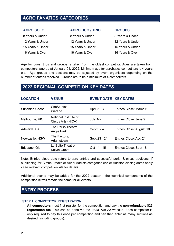### <span id="page-2-0"></span>**ACRO FANATICS CATEGORIES**

| <b>ACRO SOLO</b> | <b>ACRO DUO / TRIO</b> | <b>GROUPS</b>    |
|------------------|------------------------|------------------|
| 8 Years & Under  | 8 Years & Under        | 8 Years & Under  |
| 12 Years & Under | 12 Years & Under       | 12 Years & Under |
| 15 Years & Under | 15 Years & Under       | 15 Years & Under |
| 16 Years & Over  | 16 Years & Over        | 16 Years & Over  |

Age for duos, trios and groups is taken from the oldest competitor. Ages are taken from competitors' age as at January 01, 2022. Minimum age for acrobatics competitors is 4 years old. Age groups and sections may be adjusted by event organisers depending on the number of entries received. Groups are to be a minimum of 4 competitors.

## <span id="page-2-1"></span>**2022 REGIONAL COMPETITION KEY DATES**

| <b>LOCATION</b>       | <b>VENUE</b>                                | <b>EVENT DATE KEY DATES</b> |                          |
|-----------------------|---------------------------------------------|-----------------------------|--------------------------|
| <b>Sunshine Coast</b> | CircStudios,<br>Warana                      | April 2 - 3                 | Entries Close: March 6   |
| Melbourne, VIC        | National Institute of<br>Circus Arts (NICA) | July $1-2$                  | Entries Close: June 9    |
| Adelaide, SA          | The Parks Theatre,<br>Angle Park            | Sept 3 - 4                  | Entries Close: August 10 |
| Newcastle, NSW        | The Factory,<br>Adamstown                   | Sept 23 - 24                | Entries Close: Aug 21    |
| Brisbane, Qld         | La Boite Theatre,<br><b>Kelvin Grove</b>    | Oct 14 - 15                 | Entries Close: Sept 18   |

Note: Entries close date refers to acro entries and successful aerial & circus auditions. If auditioning for Circus Freaks or Aerial Addicts categories earlier Audition closing dates apply - see relevant competition kits for details.

Additional events may be added for the 2022 season - the technical components of the competition kit will remain the same for all events.

## <span id="page-2-2"></span>**ENTRY PROCESS**

#### **STEP 1: COMPETITOR REGISTRATION**

**All competitors** must first register for the competition and pay the **non-refundable \$25 registration fee**. This can be done via the *Bend The Air* website. Each competitor is only required to pay this once per competition and can then enter as many sections as desired (including groups).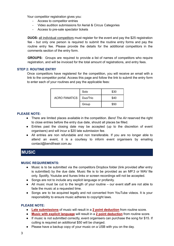Your competitor registration gives you:

- Access to competitor entries
- Video audition submissions for Aerial & Circus Categories
- Access to pre-sale spectator tickets

**DUOS:** all individual competitors must register for the event and pay the \$25 registration fee - but only one person is required to submit the routine entry forms and pay the routine entry fee. Please provide the details for the additional competitors in the comments section of the entry form.

**GROUPS:** Groups are required to provide a list of names of competitors who require registration, and will be invoiced for the total amount of registrations, and entry fees.

#### **STEP 2: ROUTINE ENTRY**

Once competitors have registered for the competition, you will receive an email with a link to the competitor portal. Access this page and follow the link to submit the entry form to enter each of your routines and pay the applicable fees:

| <b>ACRO FANATICS</b> | Solo     | \$30 |
|----------------------|----------|------|
|                      | Duo/Trio | \$40 |
|                      | Group    | \$50 |

#### **PLEASE NOTE:**

- There are limited places available in the competition. *Bend The Air* reserved the right to close entries before the entry due date, should all places be filled.
- Entries past the closing date may be accepted (up to the discretion of event organisers) and will incur a \$20 late submission fee.
- All entries are non refundable and non transferable. If you are no longer able to attend an event, it is a courtesy to inform event organisers by emailing contact@bendtheair.com.au

## <span id="page-3-0"></span>**MUSIC**

#### **MUSIC REQUIREMENTS:**

- Music is to be submitted via the competitors Dropbox folder (link provided after entry is submitted) by the due date. Music file is to be provided as an MP.3 or WAV file only. Spotify, Youtube and Itunes links or screen recordings will not be accepted.
- Songs are not to include any explicit language or profanity.
- All music must be cut to the length of your routine our event staff are not able to fade the music at a requested time.
- Songs are to be acquired legally and not converted from YouTube videos. It is your responsibility to ensure music adheres to copyright laws.

#### **PLEASE NOTE:**

- **Late submissions** of music will result in a **2 point deduction** from routine score.
- **Music with explicit language** will result in a **2 point deduction** from routine score.
- If music is not submitted correctly, event organisers can purchase the song for \$15. If cutting is required an additional \$50 will be charged.
- Please have a backup copy of your music on a USB with you on the day.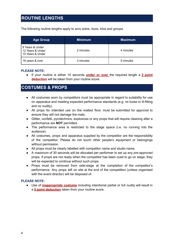## <span id="page-4-0"></span>**ROUTINE LENGTHS**

The following routine lengths apply to acro solos, duos, trios and groups.

| <b>Age Group</b>                                        | <b>Minimum</b> | <b>Maximum</b> |
|---------------------------------------------------------|----------------|----------------|
| 8 Years & Under<br>12 Years & Under<br>15 Years & Under | 2 minutes      | 4 minutes      |
| 16 years & over                                         | 3 minutes      | 5 minutes      |

#### **PLEASE NOTE:**

● If your routine is either 10 seconds **under or over** the required length a **2 point deduction** will be taken from your routine score.

## <span id="page-4-1"></span>**COSTUMES & PROPS**

- All costumes worn by competitors must be appropriate in regard to suitability for use on apparatus and meeting expected performance standards (e.g. no loose or ill-fitting and no nudity).
- All props for intended use on the matted floor, must be submitted for approval to ensure they will not damage the mats.
- Glitter, confetti, pyrotechnics, explosives or any props that will require cleaning after a performance are **NOT** permitted.
- The performance area is restricted to the stage space (i.e. no running into the audience).
- All costumes, props and apparatus supplied by the competitor are the responsibility of the competitor. Please do not touch other people's equipment or belongings without permission.
- All props must be clearly labelled with competitor name and studio name.
- A maximum of 30 seconds will be allocated per performer to set up any pre-approved props. If props are not ready when the competitor has been cued to go on stage, they will be expected to continue without such props.
- Props must be removed from side-stage at the completion of the competitor's performance. Any props left on site at the end of the competition (unless organised with the event director) will be disposed of.

#### **PLEASE NOTE:**

● Use of **inappropriate costume** including intentional partial or full nudity will result in a **5 point deduction** taken from your routine score.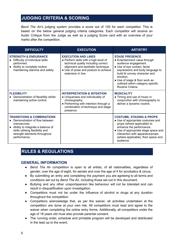## <span id="page-5-0"></span>**JUDGING CRITERIA & SCORING**

*Bend The Air*'s judging system provides a score out of 100 for each competitor. This is based on the below general judging criteria categories. Each competitor will receive an Audio Critique from the Judge as well as a judging Score card with an overview of your marks after the competition.

| <b>DIFFICULTY</b>                                                                                                                                                                                                | <b>EXECUTION</b>                                                                                                                                                                                                | <b>ARTISTRY</b>                                                                                                                                                                                                                                                                           |
|------------------------------------------------------------------------------------------------------------------------------------------------------------------------------------------------------------------|-----------------------------------------------------------------------------------------------------------------------------------------------------------------------------------------------------------------|-------------------------------------------------------------------------------------------------------------------------------------------------------------------------------------------------------------------------------------------------------------------------------------------|
| <b>STRENGTH &amp; ENDURANCE</b><br>Difficulty of individual skills<br>performed.<br>• Ability to complete routine<br>maintaining stamina and safety.                                                             | <b>EXECUTION AND LINES</b><br>• Perform skills with a high level of<br>technical quality including correct<br>alignment and aesthetic technique.<br>• Use of poise and posture to achieve<br>extension in line. | <b>STAGE PRESENCE</b><br>• Entertainment value through<br>audience engagement.<br>• Use of eye contact, facial<br>expressions and body language to<br>build & convey character and<br>emotion.<br>• Use of stage & floor work as<br>outlined within category specific<br>Routine Criteria |
| <b>FLEXIBILITY</b><br>Demonstration of flexibility whilst<br>maintaining active control.                                                                                                                         | <b>INTERPRETATION &amp; INTENTION</b><br>• Uniqueness and individuality of<br>choreography.<br>• Performing with intention through a<br>combination of technique and stage<br>presence.                         | <b>MUSICALITY</b><br>• Timing and use of music in<br>conjunction with choreography to<br>deliver a dynamic routine.                                                                                                                                                                       |
| <b>TRANSITIONS &amp; COMBINATIONS</b><br>Demonstration of flow between<br>manoeuvres.<br>• Ability to integrate a balance of<br>skills utilising flexibility and<br>strength elements throughout<br>performance. |                                                                                                                                                                                                                 | <b>COSTUME, STAGING &amp; PROPS</b><br>• Use of appropriate costumes and<br>props (where applicable) to<br>enhance the performance.<br>• Use of appropriate stage space and<br>interaction with apparatus/props<br>(where applicable), floor space and<br>audience.                       |

## <span id="page-5-1"></span>**RULES & REGULATIONS**

#### **GENERAL INFORMATION**

- *Bend The Air* competition is open to all artists, of all nationalities, regardless of gender, over the age of eight, for aerials and over the age of 4 for acrobatics & circus.
- By submitting an entry and completing the payment you are agreeing to all terms and conditions set out by *Bend The Air*, including those set out in this document.
- Bullying and any other unsportsperson like behaviour will not be tolerated and can result in disqualification upon investigation.
- Competitors must not be under the influence of alcohol or drugs at any duration throughout the competition.
- Competitors acknowledge that, as per the waiver, all activities undertaken at the competition are done at your own risk. All competitors must read and agree to the waiver when completing the online entry forms. Additionally, all competitors under the age of 18 years old must also provide parental consent.
- The running order, schedule and printable program will be developed and distributed in the lead up to the event.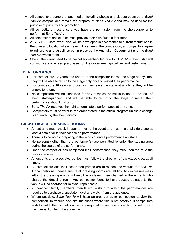- All competitors agree that any media (including photos and videos) captured at *Bend The Air* competitions remain the property of *Bend The Air* and may be used for the purpose of publicity and promotion.
- All competitors must ensure you have the permission from the choreographer to perform at *Bend The Air*.
- All competitors and studios must provide their own first aid facilitates.
- A COVID-19 safe event plan will be developed in accordance to current restrictions in the time and location of each event. By entering the competition, all competitors agree to adhere to any guidelines put in place by the Australian Government and the *Bend The Air* events team.
- Should the event need to be cancelled/rescheduled due to COVID-19, event staff will communicate a revised plan, based on the government guidelines and restrictions.

#### **PERFORMANCE**

- For competitors 10 years and under if the competitor leaves the stage at any time, they will be able to return to the stage only once to restart their performance.
- For competitors 10 years and over if they leave the stage at any time, they will be unable to return.
- No competitors will be penalised for any technical or music issues at the fault of event staff/equipment and will be able to return to the stage to restart their performance should this occur.
- *Bend The Air* reserves the right to terminate a performance at any time.
- Competitors must perform in the order stated in the official program unless a change is approved by the event director.

#### **BACKSTAGE & DRESSING ROOMS**

- All entrants must check in upon arrival to the event and must marshal side stage at least 3 acts prior to their scheduled performance
- There is to be no congregating in the wings during a performance on stage.
- No person(s) other than the performer(s) are permitted to enter the staging area during the course of the performance.
- Once the competitor has completed their performance, they must then return to the backstage area.
- All entrants and associated parties must follow the direction of backstage crew at all times.
- All competitors and their associated parties are to respect the venues of *Bend The Air* competitions. Please ensure all dressing rooms are left tidy. Any excessive mess left in the dressing rooms will result in a cleaning fee charged to the entrants who shared the dressing room. Any competitor found to have caused damage to the venue will be charged for relevant repair costs.
- All coaches, family members, friends etc. wishing to watch the performances are required to purchase a spectator ticket and watch from the audience.
- Where possible, *Bend The Air* will have an area set up for competitors to view the competition. In venues and circumstances where this is not possible, if competitors wish to watch the competition they are required to purchase a spectator ticket to view the competition from the audience.